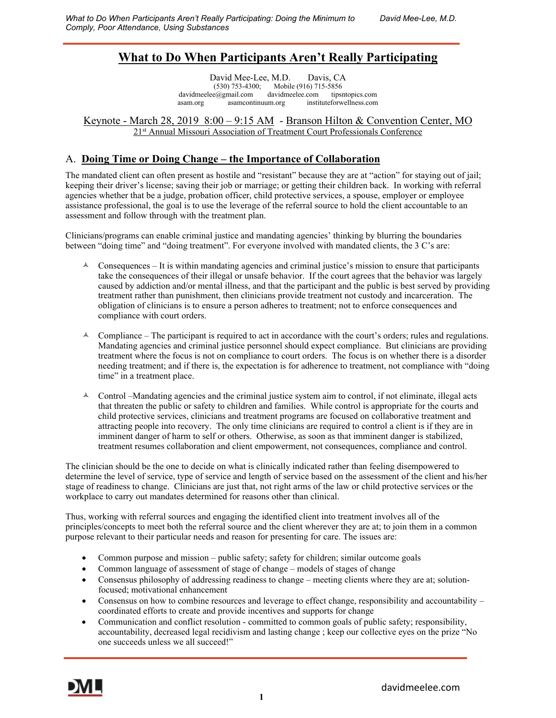# **What to Do When Participants Aren't Really Participating**

David Mee-Lee, M.D. Davis, CA (530) 753-4300; Mobile (916) 715-5856 davidmeelee@gmail.com davidmeelee.com tipsntopics.com asam.org asamcontinuum.org instituteforwellness.com

#### Keynote - March 28, 2019 8:00 – 9:15 AM - Branson Hilton & Convention Center, MO 21st Annual Missouri Association of Treatment Court Professionals Conference

## A. **Doing Time or Doing Change – the Importance of Collaboration**

The mandated client can often present as hostile and "resistant" because they are at "action" for staying out of jail; keeping their driver's license; saving their job or marriage; or getting their children back. In working with referral agencies whether that be a judge, probation officer, child protective services, a spouse, employer or employee assistance professional, the goal is to use the leverage of the referral source to hold the client accountable to an assessment and follow through with the treatment plan.

Clinicians/programs can enable criminal justice and mandating agencies' thinking by blurring the boundaries between "doing time" and "doing treatment". For everyone involved with mandated clients, the 3 C's are:

- $\triangle$  Consequences It is within mandating agencies and criminal justice's mission to ensure that participants take the consequences of their illegal or unsafe behavior. If the court agrees that the behavior was largely caused by addiction and/or mental illness, and that the participant and the public is best served by providing treatment rather than punishment, then clinicians provide treatment not custody and incarceration. The obligation of clinicians is to ensure a person adheres to treatment; not to enforce consequences and compliance with court orders.
- $\triangle$  Compliance The participant is required to act in accordance with the court's orders; rules and regulations. Mandating agencies and criminal justice personnel should expect compliance. But clinicians are providing treatment where the focus is not on compliance to court orders. The focus is on whether there is a disorder needing treatment; and if there is, the expectation is for adherence to treatment, not compliance with "doing time" in a treatment place.
- $\triangle$  Control –Mandating agencies and the criminal justice system aim to control, if not eliminate, illegal acts that threaten the public or safety to children and families. While control is appropriate for the courts and child protective services, clinicians and treatment programs are focused on collaborative treatment and attracting people into recovery. The only time clinicians are required to control a client is if they are in imminent danger of harm to self or others. Otherwise, as soon as that imminent danger is stabilized, treatment resumes collaboration and client empowerment, not consequences, compliance and control.

The clinician should be the one to decide on what is clinically indicated rather than feeling disempowered to determine the level of service, type of service and length of service based on the assessment of the client and his/her stage of readiness to change. Clinicians are just that, not right arms of the law or child protective services or the workplace to carry out mandates determined for reasons other than clinical.

Thus, working with referral sources and engaging the identified client into treatment involves all of the principles/concepts to meet both the referral source and the client wherever they are at; to join them in a common purpose relevant to their particular needs and reason for presenting for care. The issues are:

- Common purpose and mission public safety; safety for children; similar outcome goals
- Common language of assessment of stage of change models of stages of change
- Consensus philosophy of addressing readiness to change meeting clients where they are at; solutionfocused; motivational enhancement
- Consensus on how to combine resources and leverage to effect change, responsibility and accountability  $$ coordinated efforts to create and provide incentives and supports for change
- Communication and conflict resolution committed to common goals of public safety; responsibility, accountability, decreased legal recidivism and lasting change ; keep our collective eyes on the prize "No one succeeds unless we all succeed!"

Ī

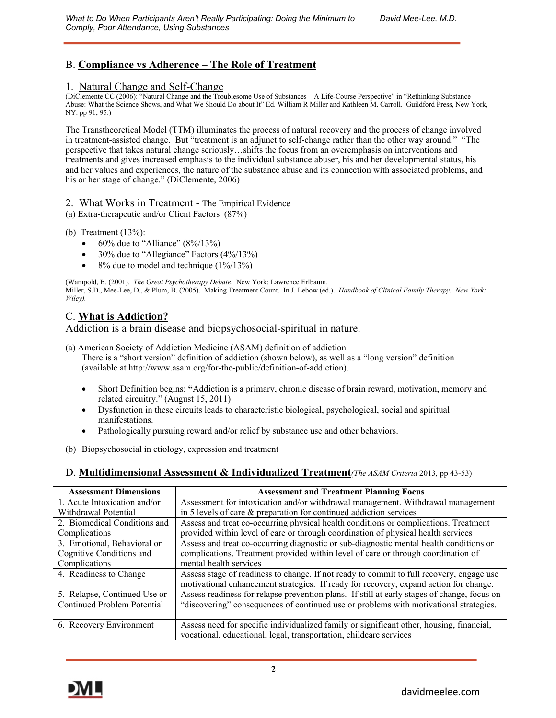## B. **Compliance vs Adherence – The Role of Treatment**

#### 1. Natural Change and Self-Change

(DiClemente CC (2006): "Natural Change and the Troublesome Use of Substances – A Life-Course Perspective" in "Rethinking Substance Abuse: What the Science Shows, and What We Should Do about It" Ed. William R Miller and Kathleen M. Carroll. Guildford Press, New York, NY. pp 91; 95.)

The Transtheoretical Model (TTM) illuminates the process of natural recovery and the process of change involved in treatment-assisted change. But "treatment is an adjunct to self-change rather than the other way around." "The perspective that takes natural change seriously…shifts the focus from an overemphasis on interventions and treatments and gives increased emphasis to the individual substance abuser, his and her developmental status, his and her values and experiences, the nature of the substance abuse and its connection with associated problems, and his or her stage of change." (DiClemente, 2006)

2. What Works in Treatment - The Empirical Evidence

(a) Extra-therapeutic and/or Client Factors (87%)

- (b) Treatment  $(13%)$ :
	- 60% due to "Alliance" (8%/13%)
	- 30% due to "Allegiance" Factors (4%/13%)
	- 8% due to model and technique (1%/13%)

(Wampold, B. (2001). *The Great Psychotherapy Debate*. New York: Lawrence Erlbaum. Miller, S.D., Mee-Lee, D., & Plum, B. (2005). Making Treatment Count. In J. Lebow (ed.). *Handbook of Clinical Family Therapy. New York: Wiley).*

## C. **What is Addiction?**

Addiction is a brain disease and biopsychosocial-spiritual in nature.

- (a) American Society of Addiction Medicine (ASAM) definition of addiction There is a "short version" definition of addiction (shown below), as well as a "long version" definition (available at http://www.asam.org/for-the-public/definition-of-addiction).
	- Short Definition begins: **"**Addiction is a primary, chronic disease of brain reward, motivation, memory and related circuitry." (August 15, 2011)
	- Dysfunction in these circuits leads to characteristic biological, psychological, social and spiritual manifestations.
	- Pathologically pursuing reward and/or relief by substance use and other behaviors.
- (b) Biopsychosocial in etiology, expression and treatment

### D. **Multidimensional Assessment & Individualized Treatment***(The ASAM Criteria* 2013*,* pp 43-53)

| <b>Assessment Dimensions</b>       | <b>Assessment and Treatment Planning Focus</b>                                                                                                                                    |
|------------------------------------|-----------------------------------------------------------------------------------------------------------------------------------------------------------------------------------|
| 1. Acute Intoxication and/or       | Assessment for intoxication and/or withdrawal management. Withdrawal management                                                                                                   |
| Withdrawal Potential               | in 5 levels of care & preparation for continued addiction services                                                                                                                |
| 2. Biomedical Conditions and       | Assess and treat co-occurring physical health conditions or complications. Treatment                                                                                              |
| Complications                      | provided within level of care or through coordination of physical health services                                                                                                 |
| 3. Emotional, Behavioral or        | Assess and treat co-occurring diagnostic or sub-diagnostic mental health conditions or                                                                                            |
| Cognitive Conditions and           | complications. Treatment provided within level of care or through coordination of                                                                                                 |
| Complications                      | mental health services                                                                                                                                                            |
| 4. Readiness to Change             | Assess stage of readiness to change. If not ready to commit to full recovery, engage use<br>motivational enhancement strategies. If ready for recovery, expand action for change. |
| 5. Relapse, Continued Use or       | Assess readiness for relapse prevention plans. If still at early stages of change, focus on                                                                                       |
| <b>Continued Problem Potential</b> | "discovering" consequences of continued use or problems with motivational strategies.                                                                                             |
| 6. Recovery Environment            | Assess need for specific individualized family or significant other, housing, financial,<br>vocational, educational, legal, transportation, childcare services                    |

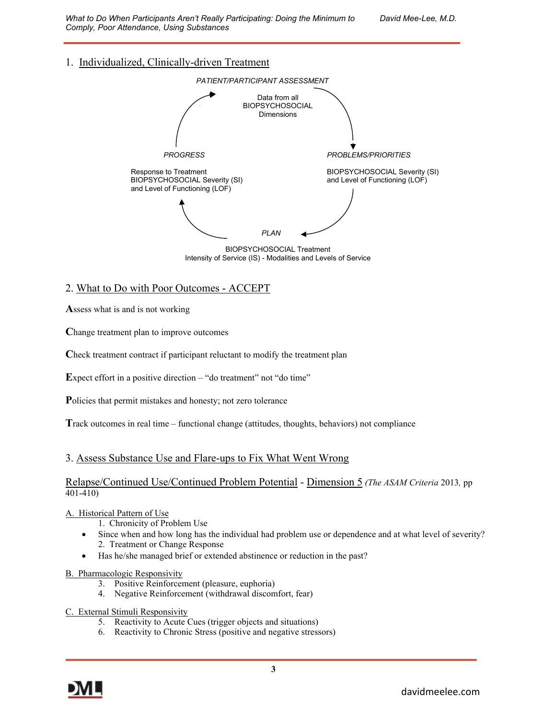*What to Do When Participants Aren't Really Participating: Doing the Minimum to David Mee-Lee, M.D. Comply, Poor Attendance, Using Substances*

## 1. Individualized, Clinically-driven Treatment



BIOPSYCHOSOCIAL Treatment Intensity of Service (IS) - Modalities and Levels of Service

### 2. What to Do with Poor Outcomes - ACCEPT

**A**ssess what is and is not working

**C**hange treatment plan to improve outcomes

**C**heck treatment contract if participant reluctant to modify the treatment plan

**Expect effort in a positive direction – "do treatment" not "do time"** 

**P**olicies that permit mistakes and honesty; not zero tolerance

**T**rack outcomes in real time – functional change (attitudes, thoughts, behaviors) not compliance

#### 3. Assess Substance Use and Flare-ups to Fix What Went Wrong

#### Relapse/Continued Use/Continued Problem Potential - Dimension 5 *(The ASAM Criteria* 2013*,* pp 401-410)

#### A. Historical Pattern of Use

- 1. Chronicity of Problem Use
- Since when and how long has the individual had problem use or dependence and at what level of severity? 2. Treatment or Change Response
- Has he/she managed brief or extended abstinence or reduction in the past?

#### B. Pharmacologic Responsivity

- 3. Positive Reinforcement (pleasure, euphoria)
- 4. Negative Reinforcement (withdrawal discomfort, fear)
- C. External Stimuli Responsivity
	- 5. Reactivity to Acute Cues (trigger objects and situations)
	- 6. Reactivity to Chronic Stress (positive and negative stressors)

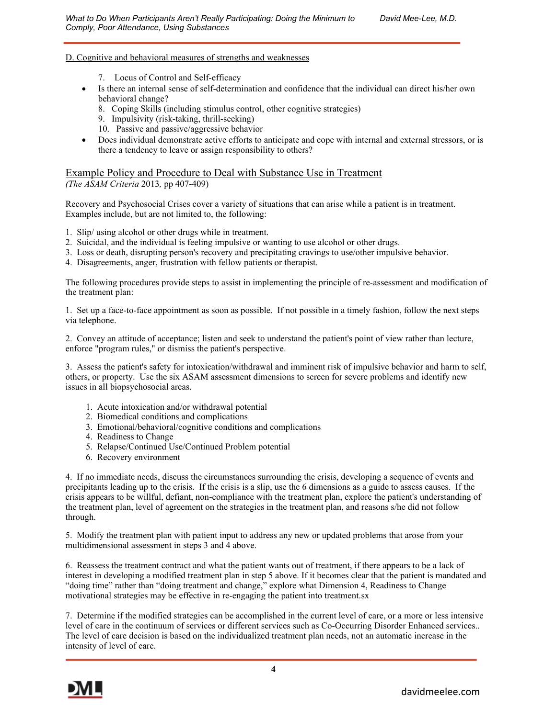#### D. Cognitive and behavioral measures of strengths and weaknesses

- 7. Locus of Control and Self-efficacy
- Is there an internal sense of self-determination and confidence that the individual can direct his/her own behavioral change?
	- 8. Coping Skills (including stimulus control, other cognitive strategies)
	- 9. Impulsivity (risk-taking, thrill-seeking)
	- 10. Passive and passive/aggressive behavior
- Does individual demonstrate active efforts to anticipate and cope with internal and external stressors, or is there a tendency to leave or assign responsibility to others?

# Example Policy and Procedure to Deal with Substance Use in Treatment

*(The ASAM Criteria* 2013*,* pp 407-409)

Recovery and Psychosocial Crises cover a variety of situations that can arise while a patient is in treatment. Examples include, but are not limited to, the following:

- 1. Slip/ using alcohol or other drugs while in treatment.
- 2. Suicidal, and the individual is feeling impulsive or wanting to use alcohol or other drugs.
- 3. Loss or death, disrupting person's recovery and precipitating cravings to use/other impulsive behavior.
- 4. Disagreements, anger, frustration with fellow patients or therapist.

The following procedures provide steps to assist in implementing the principle of re-assessment and modification of the treatment plan:

1. Set up a face-to-face appointment as soon as possible. If not possible in a timely fashion, follow the next steps via telephone.

2. Convey an attitude of acceptance; listen and seek to understand the patient's point of view rather than lecture, enforce "program rules," or dismiss the patient's perspective.

3. Assess the patient's safety for intoxication/withdrawal and imminent risk of impulsive behavior and harm to self, others, or property. Use the six ASAM assessment dimensions to screen for severe problems and identify new issues in all biopsychosocial areas.

- 1. Acute intoxication and/or withdrawal potential
- 2. Biomedical conditions and complications
- 3. Emotional/behavioral/cognitive conditions and complications
- 4. Readiness to Change
- 5. Relapse/Continued Use/Continued Problem potential
- 6. Recovery environment

4. If no immediate needs, discuss the circumstances surrounding the crisis, developing a sequence of events and precipitants leading up to the crisis. If the crisis is a slip, use the 6 dimensions as a guide to assess causes. If the crisis appears to be willful, defiant, non-compliance with the treatment plan, explore the patient's understanding of the treatment plan, level of agreement on the strategies in the treatment plan, and reasons s/he did not follow through.

5. Modify the treatment plan with patient input to address any new or updated problems that arose from your multidimensional assessment in steps 3 and 4 above.

6. Reassess the treatment contract and what the patient wants out of treatment, if there appears to be a lack of interest in developing a modified treatment plan in step 5 above. If it becomes clear that the patient is mandated and "doing time" rather than "doing treatment and change," explore what Dimension 4, Readiness to Change motivational strategies may be effective in re-engaging the patient into treatment.sx

7. Determine if the modified strategies can be accomplished in the current level of care, or a more or less intensive level of care in the continuum of services or different services such as Co-Occurring Disorder Enhanced services.. The level of care decision is based on the individualized treatment plan needs, not an automatic increase in the intensity of level of care.

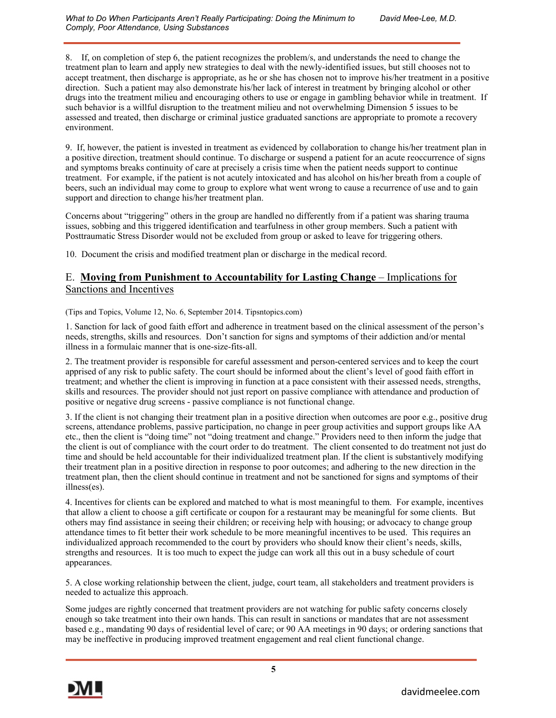8. If, on completion of step 6, the patient recognizes the problem/s, and understands the need to change the treatment plan to learn and apply new strategies to deal with the newly-identified issues, but still chooses not to accept treatment, then discharge is appropriate, as he or she has chosen not to improve his/her treatment in a positive direction. Such a patient may also demonstrate his/her lack of interest in treatment by bringing alcohol or other drugs into the treatment milieu and encouraging others to use or engage in gambling behavior while in treatment. If such behavior is a willful disruption to the treatment milieu and not overwhelming Dimension 5 issues to be assessed and treated, then discharge or criminal justice graduated sanctions are appropriate to promote a recovery environment.

9. If, however, the patient is invested in treatment as evidenced by collaboration to change his/her treatment plan in a positive direction, treatment should continue. To discharge or suspend a patient for an acute reoccurrence of signs and symptoms breaks continuity of care at precisely a crisis time when the patient needs support to continue treatment. For example, if the patient is not acutely intoxicated and has alcohol on his/her breath from a couple of beers, such an individual may come to group to explore what went wrong to cause a recurrence of use and to gain support and direction to change his/her treatment plan.

Concerns about "triggering" others in the group are handled no differently from if a patient was sharing trauma issues, sobbing and this triggered identification and tearfulness in other group members. Such a patient with Posttraumatic Stress Disorder would not be excluded from group or asked to leave for triggering others.

10. Document the crisis and modified treatment plan or discharge in the medical record.

### E. **Moving from Punishment to Accountability for Lasting Change** – Implications for Sanctions and Incentives

(Tips and Topics, Volume 12, No. 6, September 2014. Tipsntopics.com)

1. Sanction for lack of good faith effort and adherence in treatment based on the clinical assessment of the person's needs, strengths, skills and resources. Don't sanction for signs and symptoms of their addiction and/or mental illness in a formulaic manner that is one-size-fits-all.

2. The treatment provider is responsible for careful assessment and person-centered services and to keep the court apprised of any risk to public safety. The court should be informed about the client's level of good faith effort in treatment; and whether the client is improving in function at a pace consistent with their assessed needs, strengths, skills and resources. The provider should not just report on passive compliance with attendance and production of positive or negative drug screens - passive compliance is not functional change.

3. If the client is not changing their treatment plan in a positive direction when outcomes are poor e.g., positive drug screens, attendance problems, passive participation, no change in peer group activities and support groups like AA etc., then the client is "doing time" not "doing treatment and change." Providers need to then inform the judge that the client is out of compliance with the court order to do treatment. The client consented to do treatment not just do time and should be held accountable for their individualized treatment plan. If the client is substantively modifying their treatment plan in a positive direction in response to poor outcomes; and adhering to the new direction in the treatment plan, then the client should continue in treatment and not be sanctioned for signs and symptoms of their illness(es).

4. Incentives for clients can be explored and matched to what is most meaningful to them. For example, incentives that allow a client to choose a gift certificate or coupon for a restaurant may be meaningful for some clients. But others may find assistance in seeing their children; or receiving help with housing; or advocacy to change group attendance times to fit better their work schedule to be more meaningful incentives to be used. This requires an individualized approach recommended to the court by providers who should know their client's needs, skills, strengths and resources. It is too much to expect the judge can work all this out in a busy schedule of court appearances.

5. A close working relationship between the client, judge, court team, all stakeholders and treatment providers is needed to actualize this approach.

Some judges are rightly concerned that treatment providers are not watching for public safety concerns closely enough so take treatment into their own hands. This can result in sanctions or mandates that are not assessment based e.g., mandating 90 days of residential level of care; or 90 AA meetings in 90 days; or ordering sanctions that may be ineffective in producing improved treatment engagement and real client functional change.